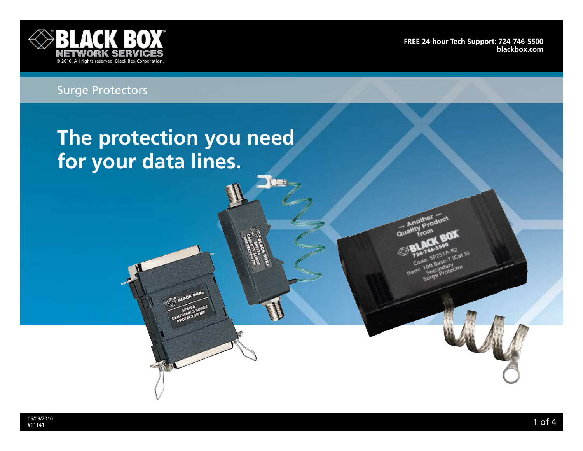

**[Free 24-hour Tech support: 724-746-5500](http://www.blackbox.com/Store/storefront.aspx) blackbox.com**

# Surge Protectors

# **The protection you need for your data lines.**

SHR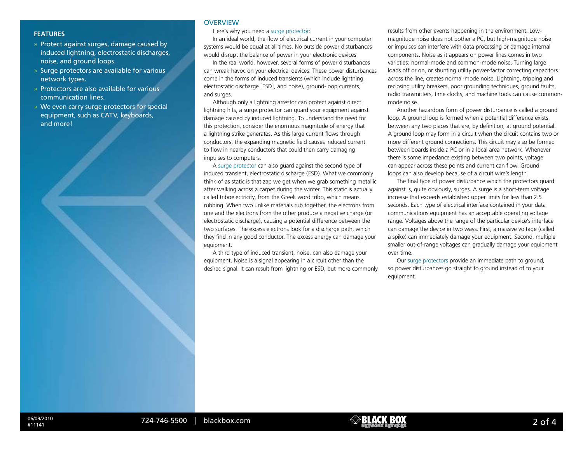- » Protect against surges, damage caused by induced lightning, electrostatic discharges, noise, and ground loops.
- » Surge protectors are available for various network types.
- » Protectors are also available for various communication lines.
- » We even carry surge protectors for special equipment, such as CATV, keyboards, and more!

#### **OVERVIEW**

### **FEATURES Here's why you need a surge protector:**

In an ideal world, the flow of electrical current in your computer systems would be equal at all times. No outside power disturbances would disrupt the balance of power in your electronic devices.

In the real world, however, several forms of power disturbances can wreak havoc on your electrical devices. These power disturbances come in the forms of induced transients (which include lightning, electrostatic discharge [ESD], and noise), ground-loop currents, and surges.

Although only a lightning arrestor can protect against direct lightning hits, a surge protector can guard your equipment against damage caused by induced lightning. To understand the need for this protection, consider the enormous magnitude of energy that a lightning strike generates. As this large current flows through conductors, the expanding magnetic field causes induced current to flow in nearby conductors that could then carry damaging impulses to computers.

A surge protector can also guard against the second type of induced transient, electrostatic discharge (ESD). What we commonly think of as static is that zap we get when we grab something metallic after walking across a carpet during the winter. This static is actually called triboelectricity, from the Greek word tribo, which means rubbing. When two unlike materials rub together, the electrons from one and the electrons from the other produce a negative charge (or electrostatic discharge), causing a potential difference between the two surfaces. The excess electrons look for a discharge path, which they find in any good conductor. The excess energy can damage your equipment.

A third type of induced transient, noise, can also damage your equipment. Noise is a signal appearing in a circuit other than the desired signal. It can result from lightning or ESD, but more commonly

results from other events happening in the environment. Lowmagnitude noise does not bother a PC, but high-magnitude noise or impulses can interfere with data processing or damage internal components. Noise as it appears on power lines comes in two varieties: normal-mode and common-mode noise. Turning large loads off or on, or shunting utility power-factor correcting capacitors across the line, creates normal-mode noise. Lightning, tripping and reclosing utility breakers, poor grounding techniques, ground faults, radio transmitters, time clocks, and machine tools can cause commonmode noise.

Another hazardous form of power disturbance is called a ground loop. A ground loop is formed when a potential difference exists between any two places that are, by definition, at ground potential. A ground loop may form in a circuit when the circuit contains two or more different ground connections. This circuit may also be formed between boards inside a PC or in a local area network. Whenever there is some impedance existing between two points, voltage can appear across these points and current can flow. Ground loops can also develop because of a circuit wire's length.

The final type of power disturbance which the protectors guard against is, quite obviously, surges. A surge is a short-term voltage increase that exceeds established upper limits for less than 2.5 seconds. Each type of electrical interface contained in your data communications equipment has an acceptable operating voltage range. Voltages above the range of the particular device's interface can damage the device in two ways. First, a massive voltage (called a spike) can immediately damage your equipment. Second, multiple smaller out-of-range voltages can gradually damage your equipment over time.

Our surge protectors provide an immediate path to ground, so power disturbances go straight to ground instead of to your equipment.

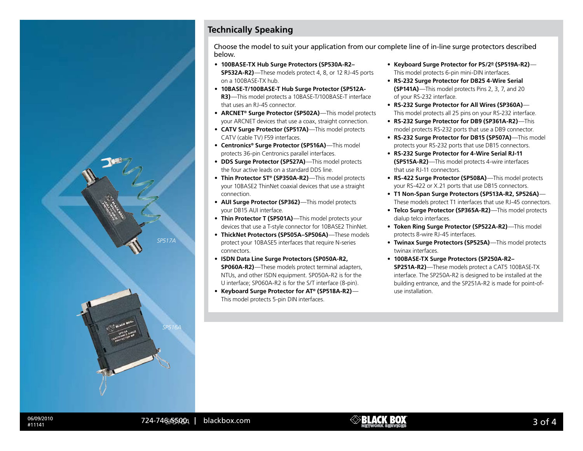

## **Technically Speaking**

Choose the model to suit your application from our complete line of in-line surge protectors described below.

- • **100BASE-TX Hub Surge Protectors (SP530A-R2– SP532A-R2)**—These models protect 4, 8, or 12 RJ-45 ports on a 100BASE-TX hub.
- • **10BASE-T/100BASE-T Hub Surge Protector (SP512A-R3)**—This model protects a 10BASE-T/100BASE-T interface that uses an RJ-45 connector.
- • **ARCNET® Surge Protector (SP502A)**—This model protects your ARCNET devices that use a coax, straight connection.
- **CATV Surge Protector (SP517A)**—This model protects CATV (cable TV) F59 interfaces.
- • **Centronics® Surge Protector (SP516A)**—This model protects 36-pin Centronics parallel interfaces.
- • **DDS Surge Protector (SP527A)**—This model protects the four active leads on a standard DDS line.
- • **Thin Protector ST® (SP350A-R2)**—This model protects your 10BASE2 ThinNet coaxial devices that use a straight connection.
- **AUI Surge Protector (SP362)**—This model protects your DB15 AUI interface.
- Thin Protector T (SP501A)—This model protects your devices that use a T-style connector for 10BASE2 ThinNet.
- • **ThickNet Protectors (SP505A–SP506A)**—These models protect your 10BASE5 interfaces that require N-series connectors.
- • **ISDN Data Line Surge Protectors (SP050A-R2, SP060A-R2)**—These models protect terminal adapters, NTUs, and other ISDN equipment. SP050A-R2 is for the U interface; SP060A-R2 is for the S/T interface (8-pin).
- • **Keyboard Surge Protector for AT® (SP518A-R2)** This model protects 5-pin DIN interfaces.
- • **Keyboard Surge Protector for PS/2® (SP519A-R2)** This model protects 6-pin mini-DIN interfaces.
- • **RS-232 Surge Protector for DB25 4-Wire Serial (SP141A)**—This model protects Pins 2, 3, 7, and 20 of your RS-232 interface.
- • **RS-232 Surge Protector for All Wires (SP360A)** This model protects all 25 pins on your RS-232 interface.
- • **RS-232 Surge Protector for DB9 (SP361A-R2)**—This model protects RS-232 ports that use a DB9 connector.
- • **RS-232 Surge Protector for DB15 (SP507A)**—This model protects your RS-232 ports that use DB15 connectors.
- • **RS-232 Surge Protector for 4-Wire Serial RJ-11 (SP515A-R2)**—This model protects 4-wire interfaces that use RJ-11 connectors.
- • **RS-422 Surge Protector (SP508A)**—This model protects your RS-422 or X.21 ports that use DB15 connectors.
- • **T1 Non-Span Surge Protectors (SP513A-R2, SP526A)** These models protect T1 interfaces that use RJ-45 connectors.
- • **Telco Surge Protector (SP365A-R2)**—This model protects dialup telco interfaces.
- • **Token Ring Surge Protector (SP522A-R2)**—This model protects 8-wire RJ-45 interfaces.
- • **Twinax Surge Protectors (SP525A)**—This model protects twinax interfaces.
- • **100BASE-TX Surge Protectors (SP250A-R2– SP251A-R2)**—These models protect a CAT5 100BASE-TX interface. The SP250A-R2 is designed to be installed at the building entrance, and the SP251A-R2 is made for point-ofuse installation.